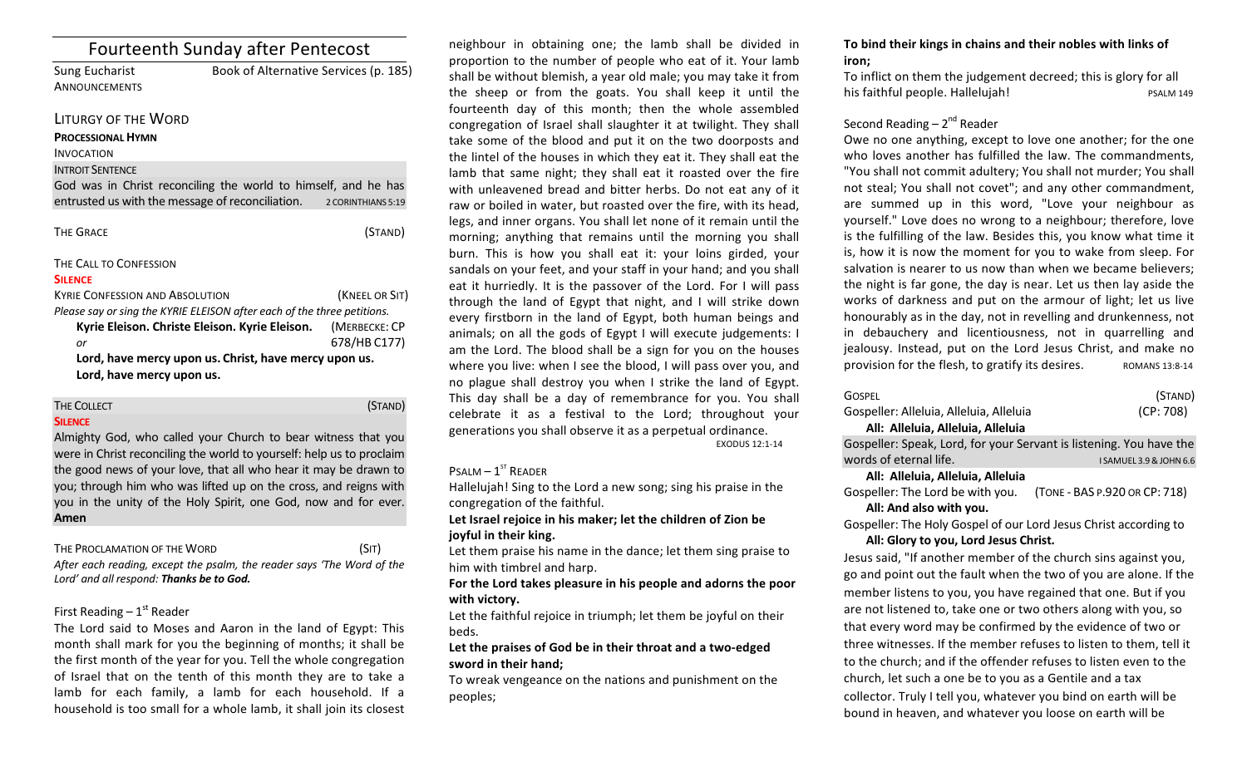| <b>Fourteenth Sunday after Pentecost</b>                                |                                       |                    |
|-------------------------------------------------------------------------|---------------------------------------|--------------------|
| <b>Sung Eucharist</b>                                                   | Book of Alternative Services (p. 185) |                    |
| ANNOUNCEMENTS                                                           |                                       |                    |
| LITURGY OF THE WORD                                                     |                                       |                    |
| <b>PROCESSIONAL HYMN</b>                                                |                                       |                    |
| <b>INVOCATION</b>                                                       |                                       |                    |
| <b>INTROIT SENTENCE</b>                                                 |                                       |                    |
| God was in Christ reconciling the world to himself, and he has          |                                       |                    |
| entrusted us with the message of reconciliation.                        |                                       | 2 CORINTHIANS 5:19 |
| <b>THE GRACE</b>                                                        |                                       | (STAND)            |
| THE CALL TO CONFESSION                                                  |                                       |                    |
| <b>SILENCE</b>                                                          |                                       |                    |
| <b>KYRIE CONFESSION AND ABSOLUTION</b>                                  |                                       | (KNEEL OR SIT)     |
| Please say or sing the KYRIE ELEISON after each of the three petitions. |                                       |                    |
| Kyrie Eleison. Christe Eleison. Kyrie Eleison.                          |                                       | (MERBECKE: CP      |

*or* 678/HB C177) Lord, have mercy upon us. Christ, have mercy upon us. Lord, have mercy upon us.

| THE COLLECT | (STAND) |
|-------------|---------|
|             |         |

### **SILENCE**

Almighty God, who called your Church to bear witness that you were in Christ reconciling the world to yourself: help us to proclaim the good news of your love, that all who hear it may be drawn to you; through him who was lifted up on the cross, and reigns with you in the unity of the Holy Spirit, one God, now and for ever. **Amen**

### THE PROCLAMATION OF THE WORD (SIT)

After each reading, except the psalm, the reader says 'The Word of the Lord' and all respond: **Thanks be to God.** 

# First Reading  $-1<sup>st</sup>$  Reader

The Lord said to Moses and Aaron in the land of Egypt: This month shall mark for you the beginning of months; it shall be the first month of the year for you. Tell the whole congregation of Israel that on the tenth of this month they are to take a lamb for each family, a lamb for each household. If a household is too small for a whole lamb, it shall join its closest

neighbour in obtaining one; the lamb shall be divided in proportion to the number of people who eat of it. Your lamb shall be without blemish, a year old male; you may take it from the sheep or from the goats. You shall keep it until the fourteenth day of this month; then the whole assembled congregation of Israel shall slaughter it at twilight. They shall take some of the blood and put it on the two doorposts and the lintel of the houses in which they eat it. They shall eat the lamb that same night; they shall eat it roasted over the fire with unleavened bread and bitter herbs. Do not eat any of it raw or boiled in water, but roasted over the fire, with its head, legs, and inner organs. You shall let none of it remain until the morning; anything that remains until the morning you shall burn. This is how you shall eat it: your loins girded, your sandals on your feet, and your staff in your hand; and you shall eat it hurriedly. It is the passover of the Lord. For I will pass through the land of Egypt that night, and I will strike down every firstborn in the land of Egypt, both human beings and animals; on all the gods of Egypt I will execute judgements: I am the Lord. The blood shall be a sign for you on the houses where you live: when I see the blood, I will pass over you, and no plague shall destroy you when I strike the land of Egypt. This day shall be a day of remembrance for you. You shall celebrate it as a festival to the Lord; throughout your generations you shall observe it as a perpetual ordinance.

EXODUS 12:1-14

### $P$ SALM –  $1^{ST}$  READER

Hallelujah! Sing to the Lord a new song; sing his praise in the congregation of the faithful.

### Let Israel rejoice in his maker; let the children of Zion be **joyful in their king.**

Let them praise his name in the dance; let them sing praise to him with timbrel and harp.

For the Lord takes pleasure in his people and adorns the poor with victory.

Let the faithful rejoice in triumph; let them be joyful on their beds. 

## Let the praises of God be in their throat and a two-edged sword in their hand:

To wreak vengeance on the nations and punishment on the peoples; 

### To bind their kings in chains and their nobles with links of **iron;**

To inflict on them the judgement decreed; this is glory for all his faithful people. Hallelujah! PSALM 149

# Second Reading  $-2<sup>nd</sup>$  Reader

Owe no one anything, except to love one another; for the one who loves another has fulfilled the law. The commandments, "You shall not commit adultery; You shall not murder; You shall not steal; You shall not covet"; and any other commandment, are summed up in this word, "Love your neighbour as yourself." Love does no wrong to a neighbour; therefore, love is the fulfilling of the law. Besides this, you know what time it is, how it is now the moment for you to wake from sleep. For salvation is nearer to us now than when we became believers; the night is far gone, the day is near. Let us then lay aside the works of darkness and put on the armour of light; let us live honourably as in the day, not in revelling and drunkenness, not in debauchery and licentiousness, not in quarrelling and jealousy. Instead, put on the Lord Jesus Christ, and make no provision for the flesh, to gratify its desires. ROMANS 13:8-14

| <b>GOSPEL</b>                                                       | (STAND)   |
|---------------------------------------------------------------------|-----------|
| Gospeller: Alleluia, Alleluia, Alleluia                             | (CP: 708) |
| All: Alleluia, Alleluia, Alleluia                                   |           |
| Gospeller: Speak, Lord, for your Servant is listening. You have the |           |

Words of eternal life. **WE AMUEL 3.9&JOHN6.6** 

### **All: Alleluia, Alleluia, Alleluia**

Gospeller: The Lord be with you. (TONE - BAS P.920 OR CP: 718) All: And also with you.

Gospeller: The Holy Gospel of our Lord Jesus Christ according to All: Glory to you, Lord Jesus Christ.

Jesus said, "If another member of the church sins against you, go and point out the fault when the two of you are alone. If the member listens to you, you have regained that one. But if you are not listened to, take one or two others along with you, so that every word may be confirmed by the evidence of two or three witnesses. If the member refuses to listen to them, tell it to the church; and if the offender refuses to listen even to the church, let such a one be to you as a Gentile and a tax collector. Truly I tell you, whatever you bind on earth will be bound in heaven, and whatever you loose on earth will be